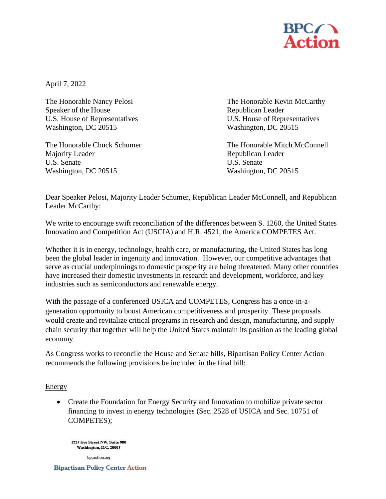

April 7, 2022

Speaker of the House Republican Leader Washington, DC 20515 Washington, DC 20515

Majority Leader **Republican Leader** Republican Leader U.S. Senate U.S. Senate Washington, DC 20515 Washington, DC 20515

The Honorable Nancy Pelosi **The Honorable Kevin McCarthy** U.S. House of Representatives U.S. House of Representatives

The Honorable Chuck Schumer The Honorable Mitch McConnell

Dear Speaker Pelosi, Majority Leader Schumer, Republican Leader McConnell, and Republican Leader McCarthy:

We write to encourage swift reconciliation of the differences between S. 1260, the United States Innovation and Competition Act (USCIA) and H.R. 4521, the America COMPETES Act.

Whether it is in energy, technology, health care, or manufacturing, the United States has long been the global leader in ingenuity and innovation. However, our competitive advantages that serve as crucial underpinnings to domestic prosperity are being threatened. Many other countries have increased their domestic investments in research and development, workforce, and key industries such as semiconductors and renewable energy.

With the passage of a conferenced USICA and COMPETES, Congress has a once-in-ageneration opportunity to boost American competitiveness and prosperity. These proposals would create and revitalize critical programs in research and design, manufacturing, and supply chain security that together will help the United States maintain its position as the leading global economy.

As Congress works to reconcile the House and Senate bills, Bipartisan Policy Center Action recommends the following provisions be included in the final bill:

## **Energy**

• Create the Foundation for Energy Security and Innovation to mobilize private sector financing to invest in energy technologies (Sec. 2528 of USICA and Sec. 10751 of COMPETES);

1225 Eye Street NW, Suite 900 Washington, D.C. 20005

bpcaction.org

**Bipartisan Policy Center Action**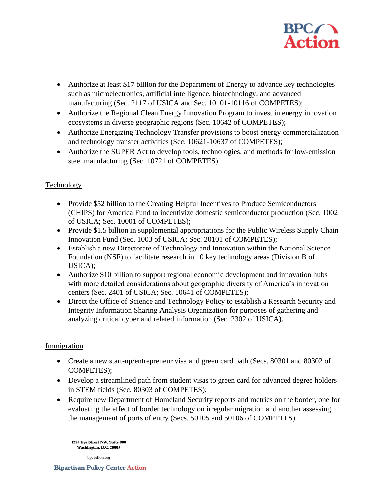

- Authorize at least \$17 billion for the Department of Energy to advance key technologies such as microelectronics, artificial intelligence, biotechnology, and advanced manufacturing (Sec. 2117 of USICA and Sec. 10101-10116 of COMPETES);
- Authorize the Regional Clean Energy Innovation Program to invest in energy innovation ecosystems in diverse geographic regions (Sec. 10642 of COMPETES);
- Authorize Energizing Technology Transfer provisions to boost energy commercialization and technology transfer activities (Sec. 10621-10637 of COMPETES);
- Authorize the SUPER Act to develop tools, technologies, and methods for low-emission steel manufacturing (Sec. 10721 of COMPETES).

# **Technology**

- Provide \$52 billion to the Creating Helpful Incentives to Produce Semiconductors (CHIPS) for America Fund to incentivize domestic semiconductor production (Sec. 1002 of USICA; Sec. 10001 of COMPETES);
- Provide \$1.5 billion in supplemental appropriations for the Public Wireless Supply Chain Innovation Fund (Sec. 1003 of USICA; Sec. 20101 of COMPETES);
- Establish a new Directorate of Technology and Innovation within the National Science Foundation (NSF) to facilitate research in 10 key technology areas (Division B of USICA);
- Authorize \$10 billion to support regional economic development and innovation hubs with more detailed considerations about geographic diversity of America's innovation centers (Sec. 2401 of USICA; Sec. 10641 of COMPETES);
- Direct the Office of Science and Technology Policy to establish a Research Security and Integrity Information Sharing Analysis Organization for purposes of gathering and analyzing critical cyber and related information (Sec. 2302 of USICA).

## Immigration

- Create a new start-up/entrepreneur visa and green card path (Secs. 80301 and 80302 of COMPETES);
- Develop a streamlined path from student visas to green card for advanced degree holders in STEM fields (Sec. 80303 of COMPETES);
- Require new Department of Homeland Security reports and metrics on the border, one for evaluating the effect of border technology on irregular migration and another assessing the management of ports of entry (Secs. 50105 and 50106 of COMPETES).

1225 Eye Street NW, Suite 900 Washington, D.C. 20005

bpcaction.org

**Bipartisan Policy Center Action**